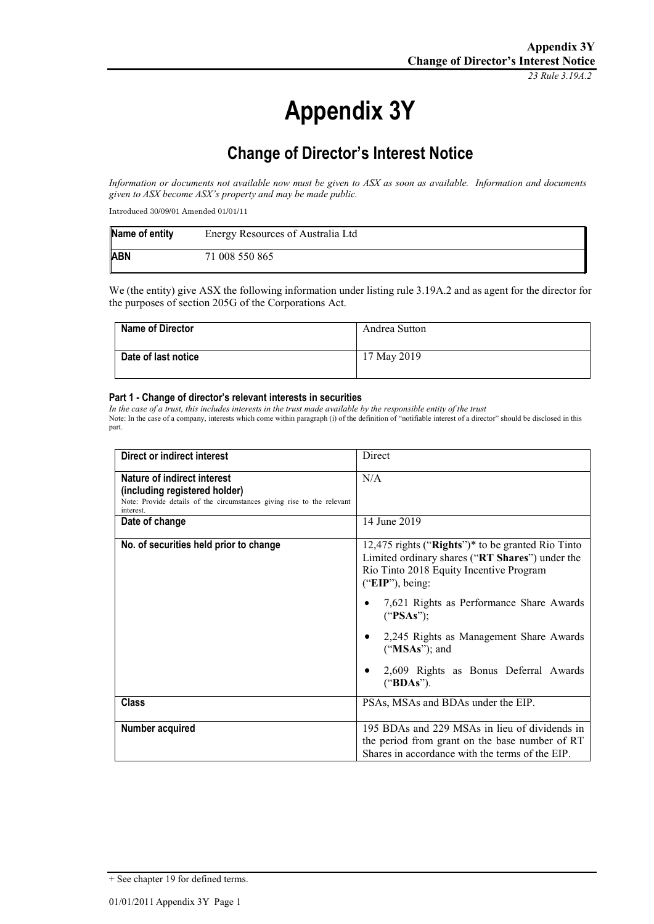*23 Rule 3.19A.2*

# **Appendix 3Y**

# **Change of Director's Interest Notice**

*Information or documents not available now must be given to ASX as soon as available. Information and documents given to ASX become ASX's property and may be made public.*

Introduced 30/09/01 Amended 01/01/11

| Name of entity | Energy Resources of Australia Ltd |
|----------------|-----------------------------------|
| <b>ABN</b>     | 71 008 550 865                    |

We (the entity) give ASX the following information under listing rule 3.19A.2 and as agent for the director for the purposes of section 205G of the Corporations Act.

| <b>Name of Director</b> | Andrea Sutton |
|-------------------------|---------------|
| Date of last notice     | 17 May 2019   |

#### **Part 1 - Change of director's relevant interests in securities**

*In the case of a trust, this includes interests in the trust made available by the responsible entity of the trust* Note: In the case of a company, interests which come within paragraph (i) of the definition of "notifiable interest of a director" should be disclosed in this part.

| Direct or indirect interest                                                                                                                         | <b>Direct</b>                                                                                                                                                           |
|-----------------------------------------------------------------------------------------------------------------------------------------------------|-------------------------------------------------------------------------------------------------------------------------------------------------------------------------|
| Nature of indirect interest<br>(including registered holder)<br>Note: Provide details of the circumstances giving rise to the relevant<br>interest. | N/A                                                                                                                                                                     |
| Date of change                                                                                                                                      | 14 June 2019                                                                                                                                                            |
| No. of securities held prior to change                                                                                                              | 12,475 rights (" $Right's$ ")* to be granted Rio Tinto<br>Limited ordinary shares ("RT Shares") under the<br>Rio Tinto 2018 Equity Incentive Program<br>("EIP"), being: |
|                                                                                                                                                     | 7,621 Rights as Performance Share Awards<br>("PSAs");                                                                                                                   |
|                                                                                                                                                     | 2,245 Rights as Management Share Awards<br>$("MSAs")$ ; and                                                                                                             |
|                                                                                                                                                     | 2,609 Rights as Bonus Deferral Awards<br>("BDAs").                                                                                                                      |
| <b>Class</b>                                                                                                                                        | PSAs, MSAs and BDAs under the EIP.                                                                                                                                      |
| Number acquired                                                                                                                                     | 195 BDAs and 229 MSAs in lieu of dividends in<br>the period from grant on the base number of RT<br>Shares in accordance with the terms of the EIP.                      |

<sup>+</sup> See chapter 19 for defined terms.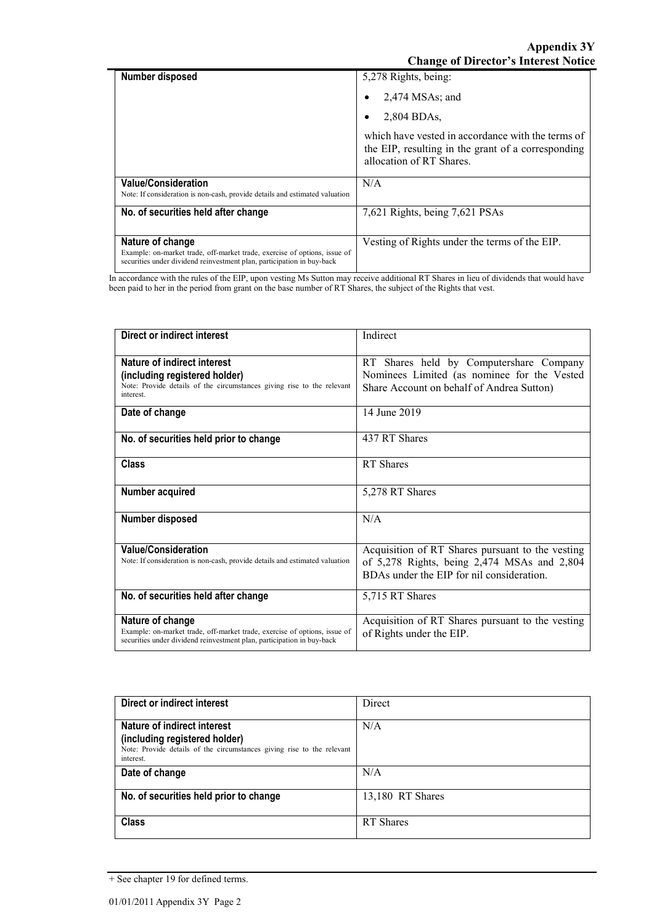**Appendix 3Y Change of Director's Interest Notice**

| Number disposed                                                                                                                                                         | 5,278 Rights, being:                                                                                                                |
|-------------------------------------------------------------------------------------------------------------------------------------------------------------------------|-------------------------------------------------------------------------------------------------------------------------------------|
|                                                                                                                                                                         | $2,474$ MSAs; and                                                                                                                   |
|                                                                                                                                                                         | 2.804 BDAs.                                                                                                                         |
|                                                                                                                                                                         | which have vested in accordance with the terms of<br>the EIP, resulting in the grant of a corresponding<br>allocation of RT Shares. |
| <b>Value/Consideration</b><br>Note: If consideration is non-cash, provide details and estimated valuation                                                               | N/A                                                                                                                                 |
| No. of securities held after change                                                                                                                                     | 7,621 Rights, being 7,621 PSAs                                                                                                      |
| Nature of change<br>Example: on-market trade, off-market trade, exercise of options, issue of<br>securities under dividend reinvestment plan, participation in buy-back | Vesting of Rights under the terms of the EIP.                                                                                       |

In accordance with the rules of the EIP, upon vesting Ms Sutton may receive additional RT Shares in lieu of dividends that would have been paid to her in the period from grant on the base number of RT Shares, the subject of the Rights that vest.

| Direct or indirect interest                                                                                                                                             | Indirect                                                                                                                                     |
|-------------------------------------------------------------------------------------------------------------------------------------------------------------------------|----------------------------------------------------------------------------------------------------------------------------------------------|
| Nature of indirect interest<br>(including registered holder)<br>Note: Provide details of the circumstances giving rise to the relevant<br>interest.                     | RT Shares held by Computershare Company<br>Nominees Limited (as nominee for the Vested<br>Share Account on behalf of Andrea Sutton)          |
| Date of change                                                                                                                                                          | 14 June 2019                                                                                                                                 |
| No. of securities held prior to change                                                                                                                                  | 437 RT Shares                                                                                                                                |
| <b>Class</b>                                                                                                                                                            | RT Shares                                                                                                                                    |
| Number acquired                                                                                                                                                         | 5,278 RT Shares                                                                                                                              |
| Number disposed                                                                                                                                                         | N/A                                                                                                                                          |
| <b>Value/Consideration</b><br>Note: If consideration is non-cash, provide details and estimated valuation                                                               | Acquisition of RT Shares pursuant to the vesting<br>of 5,278 Rights, being 2,474 MSAs and 2,804<br>BDAs under the EIP for nil consideration. |
| No. of securities held after change                                                                                                                                     | 5,715 RT Shares                                                                                                                              |
| Nature of change<br>Example: on-market trade, off-market trade, exercise of options, issue of<br>securities under dividend reinvestment plan, participation in buy-back | Acquisition of RT Shares pursuant to the vesting<br>of Rights under the EIP.                                                                 |

| Direct or indirect interest                                                                                                                         | Direct           |  |
|-----------------------------------------------------------------------------------------------------------------------------------------------------|------------------|--|
| Nature of indirect interest<br>(including registered holder)<br>Note: Provide details of the circumstances giving rise to the relevant<br>interest. | N/A              |  |
| Date of change                                                                                                                                      | N/A              |  |
| No. of securities held prior to change                                                                                                              | 13,180 RT Shares |  |
| <b>Class</b>                                                                                                                                        | RT Shares        |  |

<sup>+</sup> See chapter 19 for defined terms.